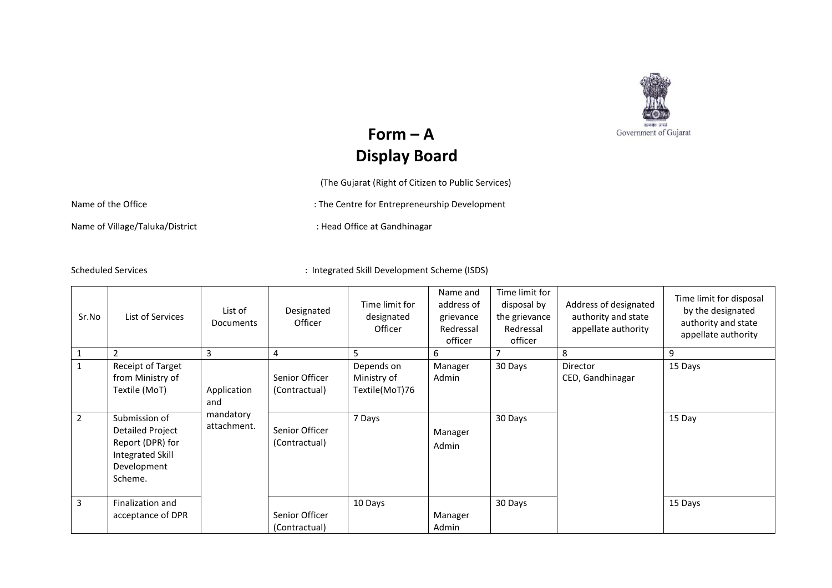

## ${\bf Form - A}$ **Display Board**

(The Gujarat (Right of Citizen to Public Services)

Name of the Office in the Centre for Entrepreneurship Development

Name of Village/Taluka/District in the state of the Head Office at Gandhinagar

Scheduled Services : Integrated Skill Development Scheme (ISDS)

| Sr.No          | List of Services                                                                                    | List of<br><b>Documents</b> | Designated<br>Officer           | Time limit for<br>designated<br>Officer     | Name and<br>address of<br>grievance<br>Redressal<br>officer | Time limit for<br>disposal by<br>the grievance<br>Redressal<br>officer | Address of designated<br>authority and state<br>appellate authority | Time limit for disposal<br>by the designated<br>authority and state<br>appellate authority |
|----------------|-----------------------------------------------------------------------------------------------------|-----------------------------|---------------------------------|---------------------------------------------|-------------------------------------------------------------|------------------------------------------------------------------------|---------------------------------------------------------------------|--------------------------------------------------------------------------------------------|
|                | $\overline{2}$                                                                                      | 3                           | $\overline{4}$                  | 5                                           | 6                                                           |                                                                        | 8                                                                   | 9                                                                                          |
| $\mathbf{1}$   | Receipt of Target<br>from Ministry of<br>Textile (MoT)                                              | Application<br>and          | Senior Officer<br>(Contractual) | Depends on<br>Ministry of<br>Textile(MoT)76 | Manager<br>Admin                                            | 30 Days                                                                | Director<br>CED, Gandhinagar                                        | 15 Days                                                                                    |
| $\overline{2}$ | Submission of<br>Detailed Project<br>Report (DPR) for<br>Integrated Skill<br>Development<br>Scheme. | mandatory<br>attachment.    | Senior Officer<br>(Contractual) | 7 Days                                      | Manager<br>Admin                                            | 30 Days                                                                |                                                                     | 15 Day                                                                                     |
| 3              | Finalization and<br>acceptance of DPR                                                               |                             | Senior Officer<br>(Contractual) | 10 Days                                     | Manager<br>Admin                                            | 30 Days                                                                |                                                                     | 15 Days                                                                                    |